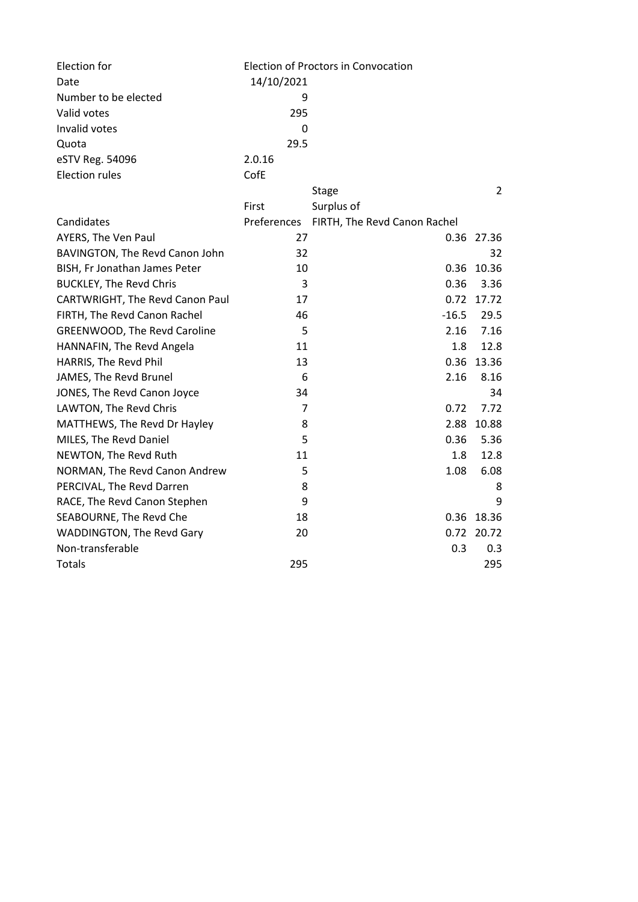| Election for                        | Election of Proctors in Convocation |                              |                |
|-------------------------------------|-------------------------------------|------------------------------|----------------|
| Date                                | 14/10/2021                          |                              |                |
| Number to be elected                | 9                                   |                              |                |
| Valid votes                         | 295                                 |                              |                |
| Invalid votes                       | $\mathbf 0$                         |                              |                |
| Quota                               | 29.5                                |                              |                |
| eSTV Reg. 54096                     | 2.0.16                              |                              |                |
| <b>Election rules</b>               | CofE                                |                              |                |
|                                     |                                     | <b>Stage</b>                 | $\overline{2}$ |
|                                     | First                               | Surplus of                   |                |
| Candidates                          | Preferences                         | FIRTH, The Revd Canon Rachel |                |
| AYERS, The Ven Paul                 | 27                                  |                              | 0.36 27.36     |
| BAVINGTON, The Revd Canon John      | 32                                  |                              | 32             |
| BISH, Fr Jonathan James Peter       | 10                                  | 0.36                         | 10.36          |
| <b>BUCKLEY, The Revd Chris</b>      | 3                                   | 0.36                         | 3.36           |
| CARTWRIGHT, The Revd Canon Paul     | 17                                  |                              | 0.72 17.72     |
| FIRTH, The Revd Canon Rachel        | 46                                  | $-16.5$                      | 29.5           |
| <b>GREENWOOD, The Revd Caroline</b> | 5                                   | 2.16                         | 7.16           |
| HANNAFIN, The Revd Angela           | 11                                  | 1.8                          | 12.8           |
| HARRIS, The Revd Phil               | 13                                  | 0.36                         | 13.36          |
| JAMES, The Revd Brunel              | 6                                   | 2.16                         | 8.16           |
| JONES, The Revd Canon Joyce         | 34                                  |                              | 34             |
| LAWTON, The Revd Chris              | $\overline{7}$                      | 0.72                         | 7.72           |
| MATTHEWS, The Revd Dr Hayley        | 8                                   | 2.88                         | 10.88          |
| MILES, The Revd Daniel              | 5                                   | 0.36                         | 5.36           |
| NEWTON, The Revd Ruth               | 11                                  | 1.8                          | 12.8           |
| NORMAN, The Revd Canon Andrew       | 5                                   | 1.08                         | 6.08           |
| PERCIVAL, The Revd Darren           | 8                                   |                              | 8              |
| RACE, The Revd Canon Stephen        | 9                                   |                              | 9              |
| SEABOURNE, The Revd Che             | 18                                  |                              | 0.36 18.36     |
| WADDINGTON, The Revd Gary           | 20                                  | 0.72                         | 20.72          |
| Non-transferable                    |                                     | 0.3                          | 0.3            |
| <b>Totals</b>                       | 295                                 |                              | 295            |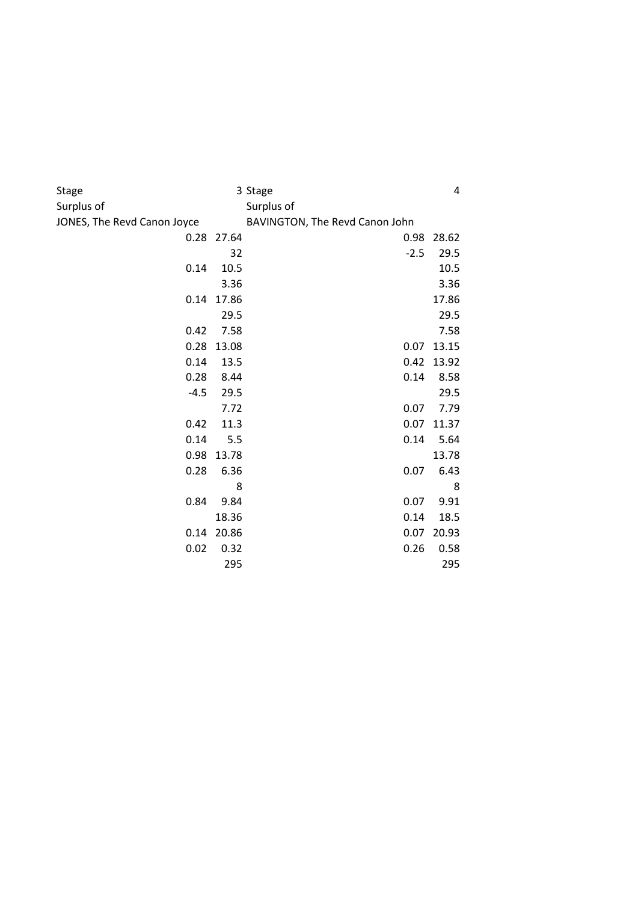| Stage                       |            | 3 Stage                        | 4     |  |  |
|-----------------------------|------------|--------------------------------|-------|--|--|
| Surplus of                  |            | Surplus of                     |       |  |  |
| JONES, The Revd Canon Joyce |            | BAVINGTON, The Revd Canon John |       |  |  |
|                             | 0.28 27.64 | 0.98                           | 28.62 |  |  |
|                             | 32         | $-2.5$                         | 29.5  |  |  |
| 0.14                        | 10.5       |                                | 10.5  |  |  |
|                             | 3.36       |                                | 3.36  |  |  |
| 0.14                        | 17.86      |                                | 17.86 |  |  |
|                             | 29.5       |                                | 29.5  |  |  |
| 0.42                        | 7.58       |                                | 7.58  |  |  |
| 0.28                        | 13.08      | 0.07                           | 13.15 |  |  |
| 0.14                        | 13.5       | 0.42                           | 13.92 |  |  |
| 0.28                        | 8.44       | 0.14                           | 8.58  |  |  |
| $-4.5$                      | 29.5       |                                | 29.5  |  |  |
|                             | 7.72       | 0.07                           | 7.79  |  |  |
| 0.42                        | 11.3       | 0.07                           | 11.37 |  |  |
| 0.14                        | 5.5        | 0.14                           | 5.64  |  |  |
| 0.98                        | 13.78      |                                | 13.78 |  |  |
| 0.28                        | 6.36       | 0.07                           | 6.43  |  |  |
|                             | 8          |                                | 8     |  |  |
| 0.84                        | 9.84       | 0.07                           | 9.91  |  |  |
|                             | 18.36      | 0.14                           | 18.5  |  |  |
| 0.14                        | 20.86      | 0.07                           | 20.93 |  |  |
| 0.02                        | 0.32       | 0.26                           | 0.58  |  |  |
|                             | 295        |                                | 295   |  |  |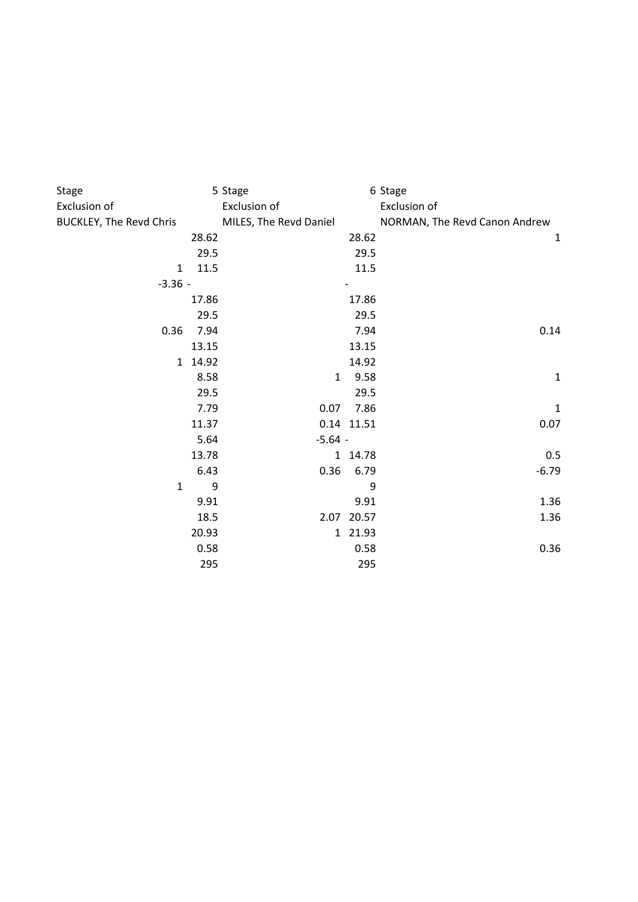| Stage                          |       | 5 Stage                |            | 6 Stage                       |
|--------------------------------|-------|------------------------|------------|-------------------------------|
| Exclusion of                   |       | Exclusion of           |            | Exclusion of                  |
| <b>BUCKLEY, The Revd Chris</b> |       | MILES, The Revd Daniel |            | NORMAN, The Revd Canon Andrew |
|                                | 28.62 |                        | 28.62      | $\mathbf{1}$                  |
|                                | 29.5  |                        | 29.5       |                               |
| $\mathbf{1}$                   | 11.5  |                        | 11.5       |                               |
| $-3.36 -$                      |       |                        |            |                               |
|                                | 17.86 |                        | 17.86      |                               |
|                                | 29.5  |                        | 29.5       |                               |
| 0.36                           | 7.94  |                        | 7.94       | 0.14                          |
|                                | 13.15 |                        | 13.15      |                               |
| $\mathbf{1}$                   | 14.92 |                        | 14.92      |                               |
|                                | 8.58  | $\mathbf{1}$           | 9.58       | $\mathbf{1}$                  |
|                                | 29.5  |                        | 29.5       |                               |
|                                | 7.79  | 0.07                   | 7.86       | $\mathbf 1$                   |
|                                | 11.37 |                        | 0.14 11.51 | 0.07                          |
|                                | 5.64  | $-5.64 -$              |            |                               |
|                                | 13.78 |                        | 1 14.78    | 0.5                           |
|                                | 6.43  | 0.36                   | 6.79       | $-6.79$                       |
| $\mathbf{1}$                   | 9     |                        | 9          |                               |
|                                | 9.91  |                        | 9.91       | 1.36                          |
|                                | 18.5  |                        | 2.07 20.57 | 1.36                          |
|                                | 20.93 |                        | 1 21.93    |                               |
|                                | 0.58  |                        | 0.58       | 0.36                          |
|                                | 295   |                        | 295        |                               |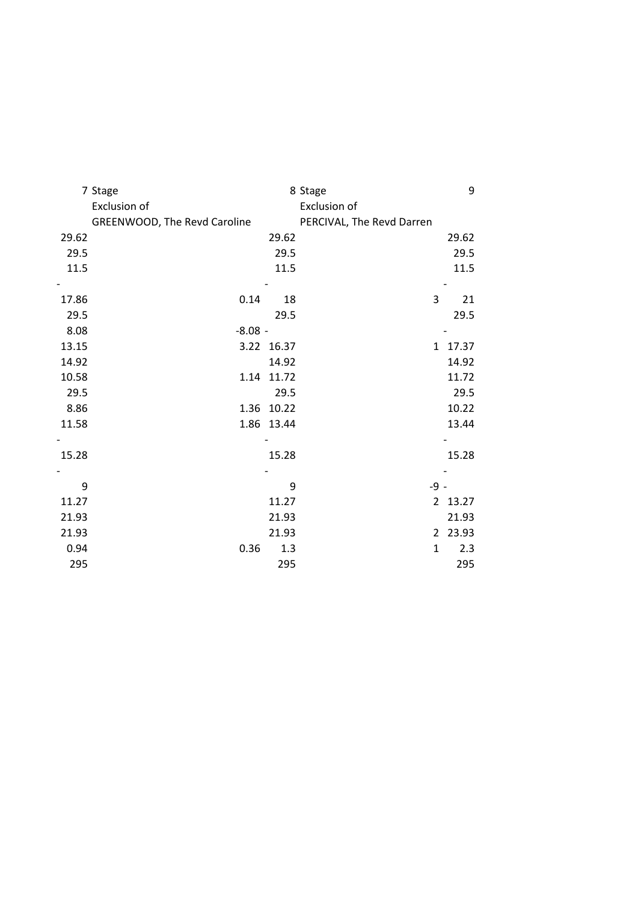|       | 7 Stage                      |            | 8 Stage                   |      | 9       |
|-------|------------------------------|------------|---------------------------|------|---------|
|       | Exclusion of                 |            | Exclusion of              |      |         |
|       | GREENWOOD, The Revd Caroline |            | PERCIVAL, The Revd Darren |      |         |
| 29.62 |                              | 29.62      |                           |      | 29.62   |
| 29.5  |                              | 29.5       |                           |      | 29.5    |
| 11.5  |                              | 11.5       |                           |      | 11.5    |
|       |                              |            |                           |      |         |
| 17.86 | 0.14                         | 18         | 3                         |      | 21      |
| 29.5  |                              | 29.5       |                           |      | 29.5    |
| 8.08  | $-8.08 -$                    |            |                           |      |         |
| 13.15 |                              | 3.22 16.37 |                           |      | 1 17.37 |
| 14.92 |                              | 14.92      |                           |      | 14.92   |
| 10.58 | 1.14                         | 11.72      |                           |      | 11.72   |
| 29.5  |                              | 29.5       |                           |      | 29.5    |
| 8.86  | 1.36                         | 10.22      |                           |      | 10.22   |
| 11.58 | 1.86                         | 13.44      |                           |      | 13.44   |
|       |                              |            |                           |      |         |
| 15.28 |                              | 15.28      |                           |      | 15.28   |
|       |                              |            |                           |      |         |
| 9     |                              | 9          |                           | -9 - |         |
| 11.27 |                              | 11.27      |                           |      | 2 13.27 |
| 21.93 |                              | 21.93      |                           |      | 21.93   |
| 21.93 |                              | 21.93      |                           |      | 2 23.93 |
| 0.94  | 0.36                         | 1.3        | $\mathbf{1}$              |      | 2.3     |
| 295   |                              | 295        |                           |      | 295     |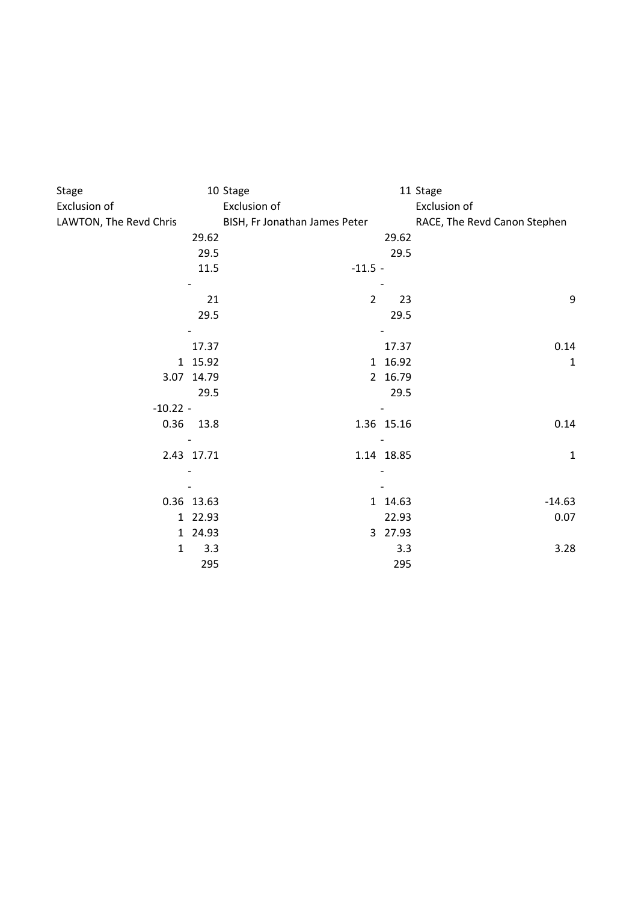| Stage<br>Exclusion of  |            | 10 Stage<br>Exclusion of      |                          | 11 Stage<br>Exclusion of     |
|------------------------|------------|-------------------------------|--------------------------|------------------------------|
| LAWTON, The Revd Chris |            | BISH, Fr Jonathan James Peter |                          | RACE, The Revd Canon Stephen |
|                        | 29.62      |                               | 29.62                    |                              |
|                        | 29.5       |                               | 29.5                     |                              |
|                        | 11.5       | $-11.5 -$                     |                          |                              |
|                        |            |                               |                          |                              |
|                        | 21         | $\overline{2}$                |                          | $\boldsymbol{9}$<br>23       |
|                        | 29.5       |                               | 29.5                     |                              |
|                        |            |                               |                          |                              |
|                        | 17.37      |                               | 17.37                    | 0.14                         |
|                        | 1 15.92    |                               | 1 16.92                  | $\mathbf 1$                  |
|                        | 3.07 14.79 |                               | 2 16.79                  |                              |
|                        | 29.5       |                               | 29.5                     |                              |
| $-10.22 -$             |            |                               |                          |                              |
|                        | 0.36 13.8  |                               | 1.36 15.16               | 0.14                         |
|                        |            |                               | $\overline{\phantom{a}}$ |                              |
|                        | 2.43 17.71 |                               | 1.14 18.85               | $\mathbf{1}$                 |
|                        |            |                               |                          |                              |
|                        |            |                               |                          |                              |
|                        | 0.36 13.63 |                               | 1 14.63                  | $-14.63$                     |
|                        | 1 22.93    |                               | 22.93                    | 0.07                         |
|                        | 1 24.93    |                               | 3 27.93                  |                              |
| $\mathbf{1}$           | 3.3        |                               | 3.3                      | 3.28                         |
|                        | 295        |                               | 295                      |                              |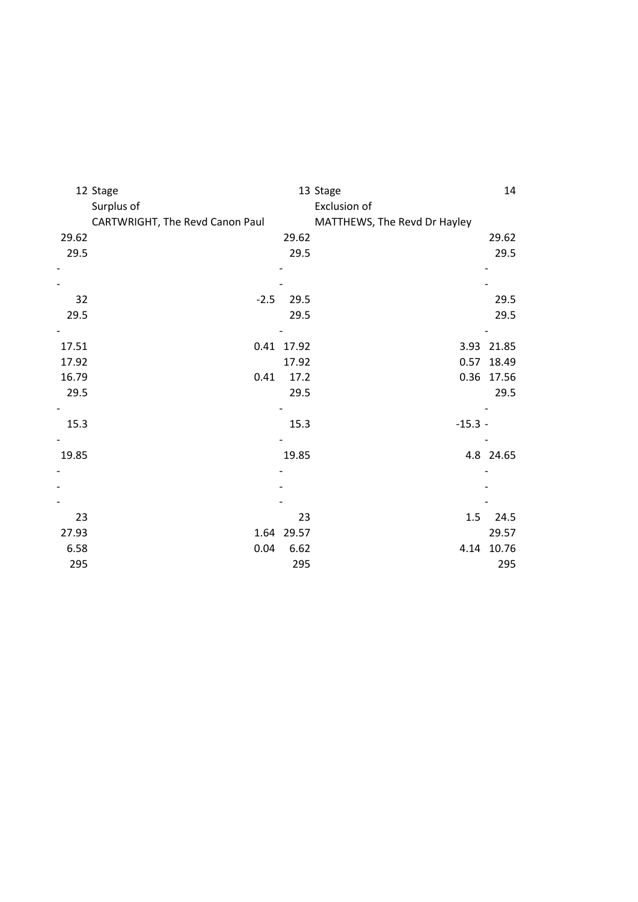|       | 12 Stage                        |            | 13 Stage                     | 14         |
|-------|---------------------------------|------------|------------------------------|------------|
|       | Surplus of                      |            | Exclusion of                 |            |
|       | CARTWRIGHT, The Revd Canon Paul |            | MATTHEWS, The Revd Dr Hayley |            |
| 29.62 |                                 | 29.62      |                              | 29.62      |
| 29.5  |                                 | 29.5       |                              | 29.5       |
|       |                                 |            |                              |            |
|       |                                 |            |                              |            |
| 32    | $-2.5$                          | 29.5       |                              | 29.5       |
| 29.5  |                                 | 29.5       |                              | 29.5       |
|       |                                 |            |                              |            |
| 17.51 |                                 | 0.41 17.92 |                              | 3.93 21.85 |
| 17.92 |                                 | 17.92      | 0.57                         | 18.49      |
| 16.79 | 0.41                            | 17.2       |                              | 0.36 17.56 |
| 29.5  |                                 | 29.5       |                              | 29.5       |
|       |                                 |            |                              |            |
| 15.3  |                                 | 15.3       | $-15.3 -$                    |            |
|       |                                 |            |                              |            |
| 19.85 |                                 | 19.85      |                              | 4.8 24.65  |
|       |                                 |            |                              |            |
|       |                                 |            |                              |            |
|       |                                 |            |                              |            |
| 23    |                                 | 23         | 1.5                          | 24.5       |
| 27.93 |                                 | 1.64 29.57 |                              | 29.57      |
| 6.58  | 0.04                            | 6.62       |                              | 4.14 10.76 |
| 295   |                                 | 295        |                              | 295        |